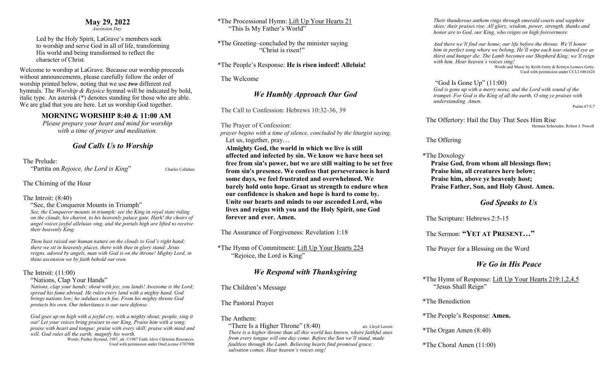### **May 29, 2022**

 *Ascension Day* 

Led by the Holy Spirit, LaGrave's members seek to worship and serve God in all of life, transforming His world and being transformed to reflect the character of Christ.

Welcome to worship at LaGrave. Because our worship proceeds without announcements, please carefully follow the order of worship printed below, noting that we use *two* different red hymnals. The *Worship & Rejoice* hymnal will be indicated by bold, italic type. An asterisk (\*) denotes standing for those who are able. We are glad that you are here. Let us worship God together.

### **MORNING WORSHIP 8:40 & 11:00 AM**

*Please prepare your heart and mind for worship with a time of prayer and meditation.*

# *God Calls Us to Worship*

The Prelude:

"Partita on *Rejoice, the Lord is King*" Charles Callahan

The Chiming of the Hour

The Introit: (8:40)

"See, the Conqueror Mounts in Triumph" *See, the Conqueror mounts in triumph; see the King in royal state riding on the clouds, his chariot, to his heavenly palace gate. Hark! the choirs of angel voices joyful alleluias sing, and the portals high are lifted to receive their heavenly King.* 

*Thou hast raised our human nature on the clouds to God's right hand; there we sit in heavenly places, there with thee in glory stand: Jesus reigns, adored by angels, man with God is on the throne! Mighty Lord, in thine ascension we by faith behold our own.*

### The Introit: (11:00)

"Nations, Clap Your Hands"

*Nations, clap your hands; shout with joy, you lands! Awesome is the Lord; spread his fame abroad. He rules every land with a mighty hand. God brings nations low; he subdues each foe. From his mighty throne God protects his own. Our inheritance is our sure defense.* 

*God goes up on high with a joyful cry, with a mighty shout; people, sing it out! Let your voices bring praises to our King. Praise him with a song; praise with heart and tongue; praise with every skill; praise with mind and will. God rules all the earth; magnify his worth.* 

Words: Psalter Hymnal, 1987, alt. ©1987 Faith Alive Christian Resources. Used with permission under OneLicense #707908 \*The Processional Hymn: Lift Up Your Hearts 21 "This Is My Father's World"

\*The Greeting–concluded by the minister saying "Christ is risen!"

\*The People's Response: **He is risen indeed! Alleluia!**

The Welcome

## *We Humbly Approach Our God*

The Call to Confession: Hebrews 10:32-36, 39

The Prayer of Confession:

 *prayer begins with a time of silence, concluded by the liturgist saying,* Let us, together, pray…

**Almighty God, the world in which we live is still affected and infected by sin. We know we have been set free from sin's power, but we are still waiting to be set free from sin's presence. We confess that perseverance is hard some days, we feel frustrated and overwhelmed. We barely hold onto hope. Grant us strength to endure when our confidence is shaken and hope is hard to come by. Unite our hearts and minds to our ascended Lord, who lives and reigns with you and the Holy Spirit, one God forever and ever. Amen.**

The Assurance of Forgiveness: Revelation 1:18

\*The Hymn of Commitment: Lift Up Your Hearts 224 "Rejoice, the Lord is King"

# *We Respond with Thanksgiving*

The Children's Message

The Pastoral Prayer

### The Anthem:

"There Is a Higher Throne"  $(8:40)$  arr. Lloyd Larson *There is a higher throne than all this world has known, where faithful ones from every tongue will one day come. Before the Son we'll stand, made faultless through the Lamb. Believing hearts find promised grace; salvation comes. Hear heaven's voices sing!*

*Their thunderous anthem rings through emerald courts and sapphire skies; their praises rise. All glory, wisdom, power, strength, thanks and honor are to God, our King, who reigns on high forevermore.* 

*And there we'll find our home; our life before the throne. We'll honor him in perfect song where we belong. He'll wipe each tear-stained eye as thirst and hunger die. The Lamb becomes our Shepherd King; we'll reign with him. Hear heaven's voices sing!* Words and Music by Keith Getty & Kristyn Lennox Getty.

Used with permission under CCLI #461624

### "God Is Gone Up" (11:00)

*God is gone up with a merry noise, and the Lord with sound of the trumpet. For God is the King of all the earth, O sing ye praises with understanding. Amen.* 

Psalm 47:5,7

The Offertory: Hail the Day That Sees Him Rise<br>Herman Schroeder, Robert J. Powell

The Offering

### \*The Doxology

**Praise God, from whom all blessings flow; Praise him, all creatures here below; Praise him, above ye heavenly host; Praise Father, Son, and Holy Ghost. Amen.** 

# *God Speaks to Us*

The Scripture: Hebrews 2:5-15

The Sermon: **"YET AT PRESENT…"**

The Prayer for a Blessing on the Word

# *We Go in His Peace*

\*The Hymn of Response: Lift Up Your Hearts 219:1,2,4,5 "Jesus Shall Reign"

\*The Benediction

\*The People's Response: **Amen.**

\*The Organ Amen (8:40)

\*The Choral Amen (11:00)